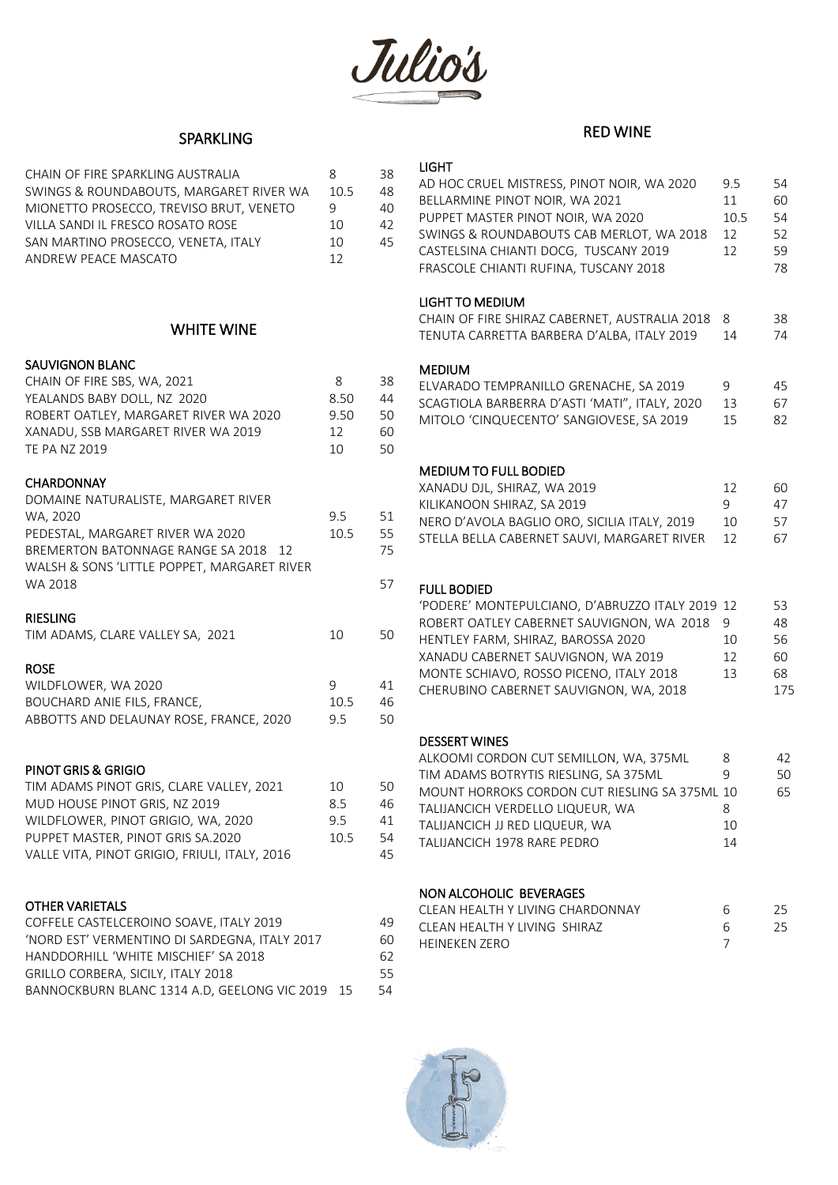

## SPARKLING

| CHAIN OF FIRE SPARKLING AUSTRALIA       | 8    | 38 |
|-----------------------------------------|------|----|
| SWINGS & ROUNDABOUTS, MARGARET RIVER WA | 10.5 | 48 |
| MIONETTO PROSECCO. TREVISO BRUT. VENETO | 9    | 40 |
| VILLA SANDI IL FRESCO ROSATO ROSE       | 10   | 42 |
| SAN MARTINO PROSECCO, VENETA, ITALY     | 10   | 45 |
| ANDREW PEACE MASCATO                    | 12   |    |

### WHITE WINE

### SAUVIGNON BLANC

| CHAIN OF FIRE SBS, WA, 2021<br>YEALANDS BABY DOLL, NZ 2020<br>ROBERT OATLEY, MARGARET RIVER WA 2020<br>XANADU, SSB MARGARET RIVER WA 2019<br><b>TE PA NZ 2019</b>                                                            | 8<br>8.50<br>9.50<br>12<br>10 | 38<br>44<br>50<br>60<br>50 |
|------------------------------------------------------------------------------------------------------------------------------------------------------------------------------------------------------------------------------|-------------------------------|----------------------------|
| <b>CHARDONNAY</b><br>DOMAINE NATURALISTE, MARGARET RIVER<br>WA, 2020<br>PEDESTAL, MARGARET RIVER WA 2020<br>BREMERTON BATONNAGE RANGE SA 2018<br>12<br>WALSH & SONS 'LITTLE POPPET, MARGARET RIVER<br>WA 2018                | 9.5<br>10.5                   | 51<br>55<br>75<br>57       |
| <b>RIESLING</b><br>TIM ADAMS, CLARE VALLEY SA, 2021<br><b>ROSE</b><br>WILDFLOWER, WA 2020<br>BOUCHARD ANIE FILS, FRANCE,<br>ABBOTTS AND DELAUNAY ROSE, FRANCE, 2020                                                          | 10<br>9<br>10.5<br>9.5        | 50<br>41<br>46<br>50       |
| PINOT GRIS & GRIGIO<br>TIM ADAMS PINOT GRIS, CLARE VALLEY, 2021<br>MUD HOUSE PINOT GRIS, NZ 2019<br>WILDFLOWER, PINOT GRIGIO, WA, 2020<br>PUPPET MASTER, PINOT GRIS SA.2020<br>VALLE VITA, PINOT GRIGIO, FRIULI, ITALY, 2016 | 10<br>8.5<br>9.5<br>10.5      | 50<br>46<br>41<br>54<br>45 |

#### OTHER VARIETALS

| COFFELE CASTELCEROINO SOAVE. ITALY 2019         | 49 |
|-------------------------------------------------|----|
| 'NORD EST' VERMENTINO DI SARDEGNA. ITALY 2017   | 60 |
| HANDDORHILL 'WHITE MISCHIEF' SA 2018            | 62 |
| <b>GRILLO CORBERA, SICILY, ITALY 2018</b>       | 55 |
| BANNOCKBURN BLANC 1314 A.D. GEELONG VIC 2019 15 | 54 |

# RED WINE

### LIGHT

| AD HOC CRUEL MISTRESS, PINOT NOIR, WA 2020<br>BELLARMINE PINOT NOIR, WA 2021<br>PUPPET MASTER PINOT NOIR, WA 2020<br>SWINGS & ROUNDABOUTS CAB MERLOT, WA 2018<br>CASTELSINA CHIANTI DOCG, TUSCANY 2019<br>FRASCOLE CHIANTI RUFINA, TUSCANY 2018                                  | 9.5<br>11<br>10.5<br>12<br>12 | 54<br>60<br>54<br>52<br>59<br>78  |
|----------------------------------------------------------------------------------------------------------------------------------------------------------------------------------------------------------------------------------------------------------------------------------|-------------------------------|-----------------------------------|
| <b>LIGHT TO MEDIUM</b><br>CHAIN OF FIRE SHIRAZ CABERNET, AUSTRALIA 2018<br>TENUTA CARRETTA BARBERA D'ALBA, ITALY 2019                                                                                                                                                            | 8<br>14                       | 38<br>74                          |
| <b>MEDIUM</b><br>ELVARADO TEMPRANILLO GRENACHE, SA 2019<br>SCAGTIOLA BARBERRA D'ASTI 'MATI", ITALY, 2020<br>MITOLO 'CINQUECENTO' SANGIOVESE, SA 2019                                                                                                                             | 9<br>13<br>15                 | 45<br>67<br>82                    |
| <b>MEDIUM TO FULL BODIED</b><br>XANADU DJL, SHIRAZ, WA 2019<br>KILIKANOON SHIRAZ, SA 2019<br>NERO D'AVOLA BAGLIO ORO, SICILIA ITALY, 2019<br>STELLA BELLA CABERNET SAUVI, MARGARET RIVER                                                                                         | 12<br>9<br>10<br>12           | 60<br>47<br>57<br>67              |
| <b>FULL BODIED</b><br>'PODERE' MONTEPULCIANO, D'ABRUZZO ITALY 2019<br>ROBERT OATLEY CABERNET SAUVIGNON, WA 2018<br>HENTLEY FARM, SHIRAZ, BAROSSA 2020<br>XANADU CABERNET SAUVIGNON, WA 2019<br>MONTE SCHIAVO, ROSSO PICENO, ITALY 2018<br>CHERUBINO CABERNET SAUVIGNON, WA, 2018 | 12<br>9<br>10<br>12<br>13     | 53<br>48<br>56<br>60<br>68<br>175 |
| <b>DESSERT WINES</b><br>ALKOOMI CORDON CUT SEMILLON, WA, 375ML<br>TIM ADAMS BOTRYTIS RIESLING, SA 375ML<br>MOUNT HORROKS CORDON CUT RIESLING SA 375ML 10<br>TALIJANCICH VERDELLO LIQUEUR, WA<br>TALIJANCICH JJ RED LIQUEUR, WA<br>TALIJANCICH 1978 RARE PEDRO                    | 8<br>9<br>8<br>10<br>14       | 42<br>50<br>65                    |

#### NON ALCOHOLIC BEVERAGES

| CLEAN HEALTH Y LIVING CHARDONNAY |  |
|----------------------------------|--|
| CLEAN HEALTH Y LIVING SHIRAZ     |  |
| HFINFKFN 7FRO                    |  |